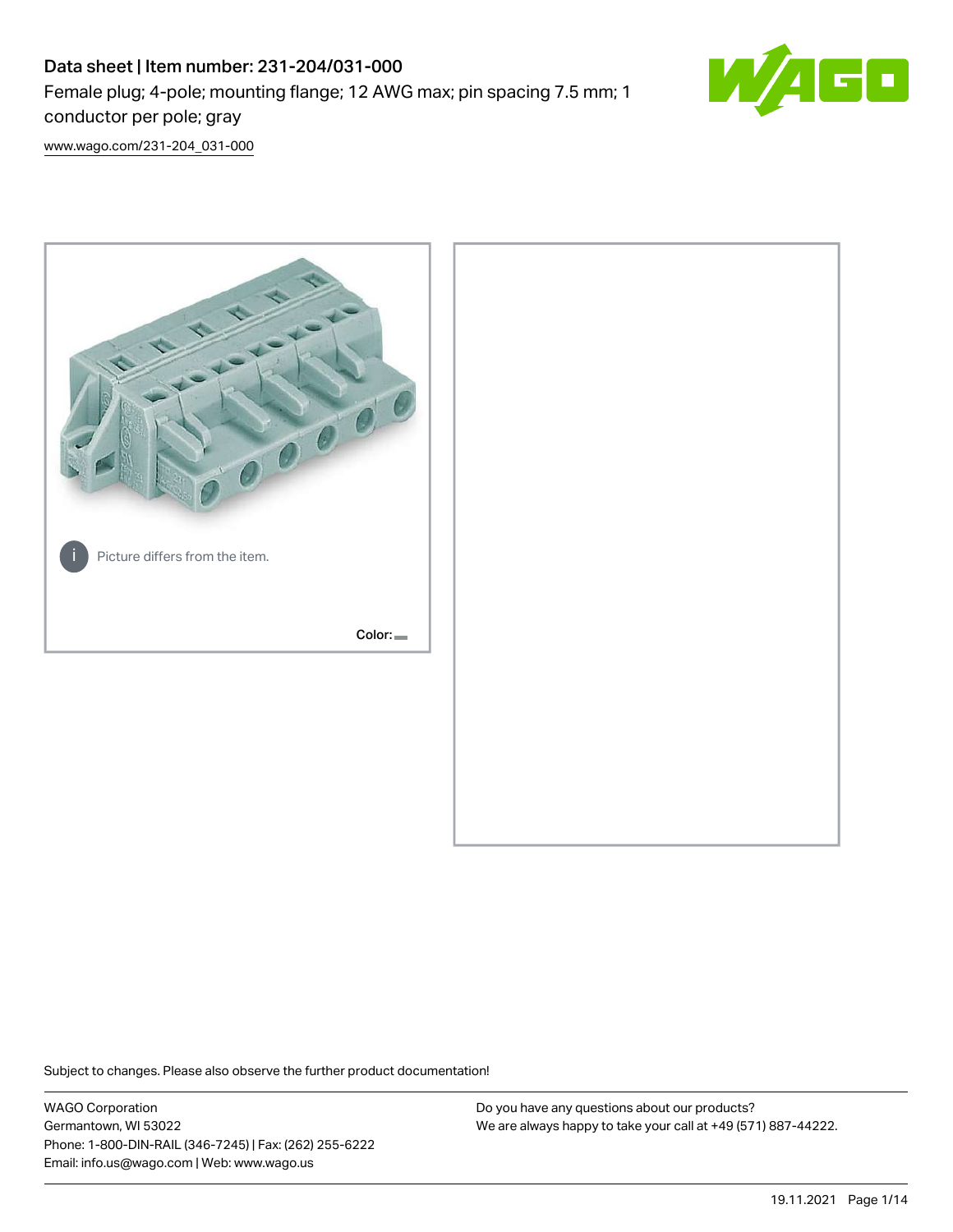# Data sheet | Item number: 231-204/031-000 Female plug; 4-pole; mounting flange; 12 AWG max; pin spacing 7.5 mm; 1 conductor per pole; gray



[www.wago.com/231-204\\_031-000](http://www.wago.com/231-204_031-000)



Subject to changes. Please also observe the further product documentation!

WAGO Corporation Germantown, WI 53022 Phone: 1-800-DIN-RAIL (346-7245) | Fax: (262) 255-6222 Email: info.us@wago.com | Web: www.wago.us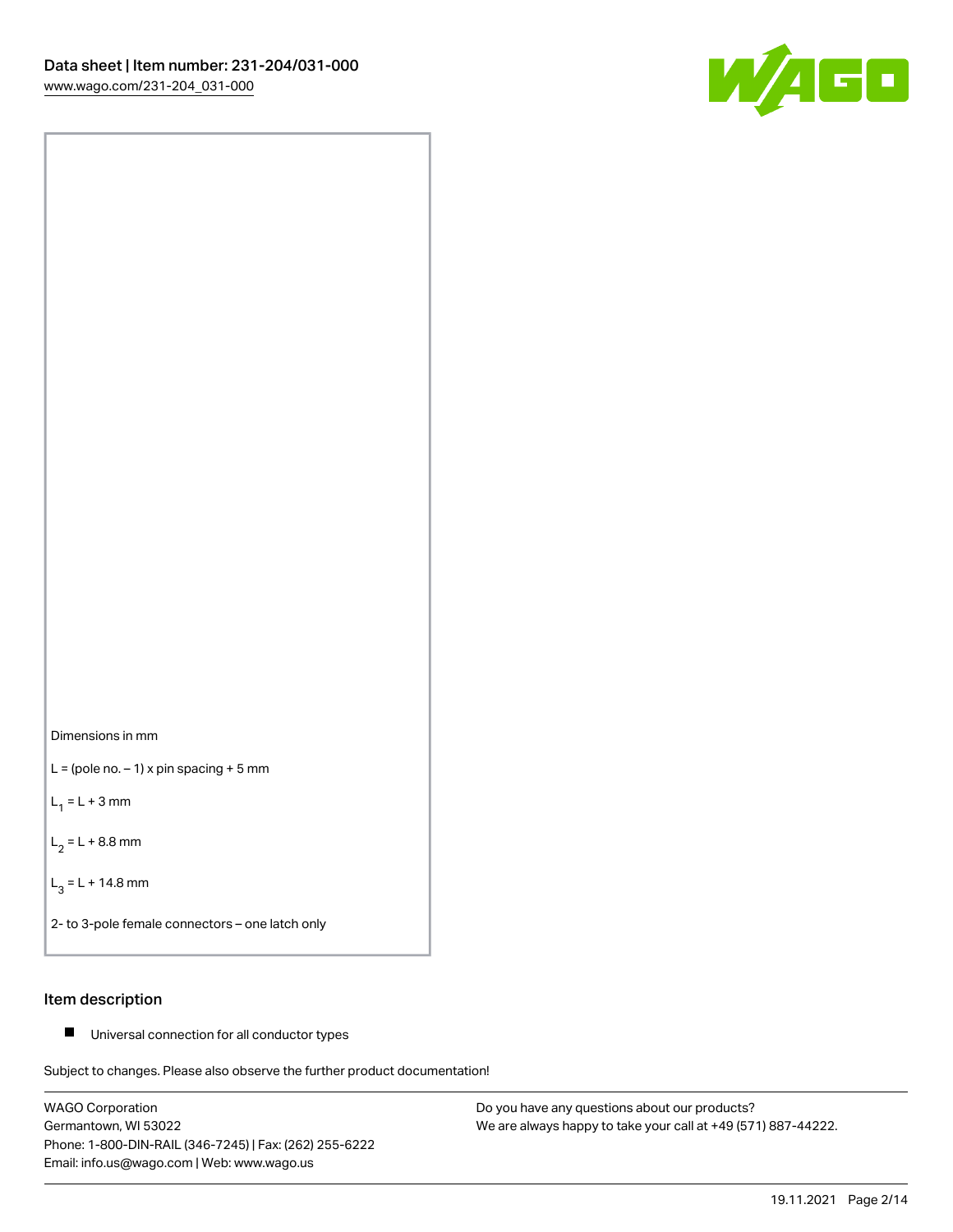



 $L =$  (pole no.  $-1$ ) x pin spacing + 5 mm

 $L_1 = L + 3$  mm

 $L_2 = L + 8.8$  mm

 $L_3 = L + 14.8$  mm

2- to 3-pole female connectors – one latch only

# Item description

■ Universal connection for all conductor types

Subject to changes. Please also observe the further product documentation!

WAGO Corporation Germantown, WI 53022 Phone: 1-800-DIN-RAIL (346-7245) | Fax: (262) 255-6222 Email: info.us@wago.com | Web: www.wago.us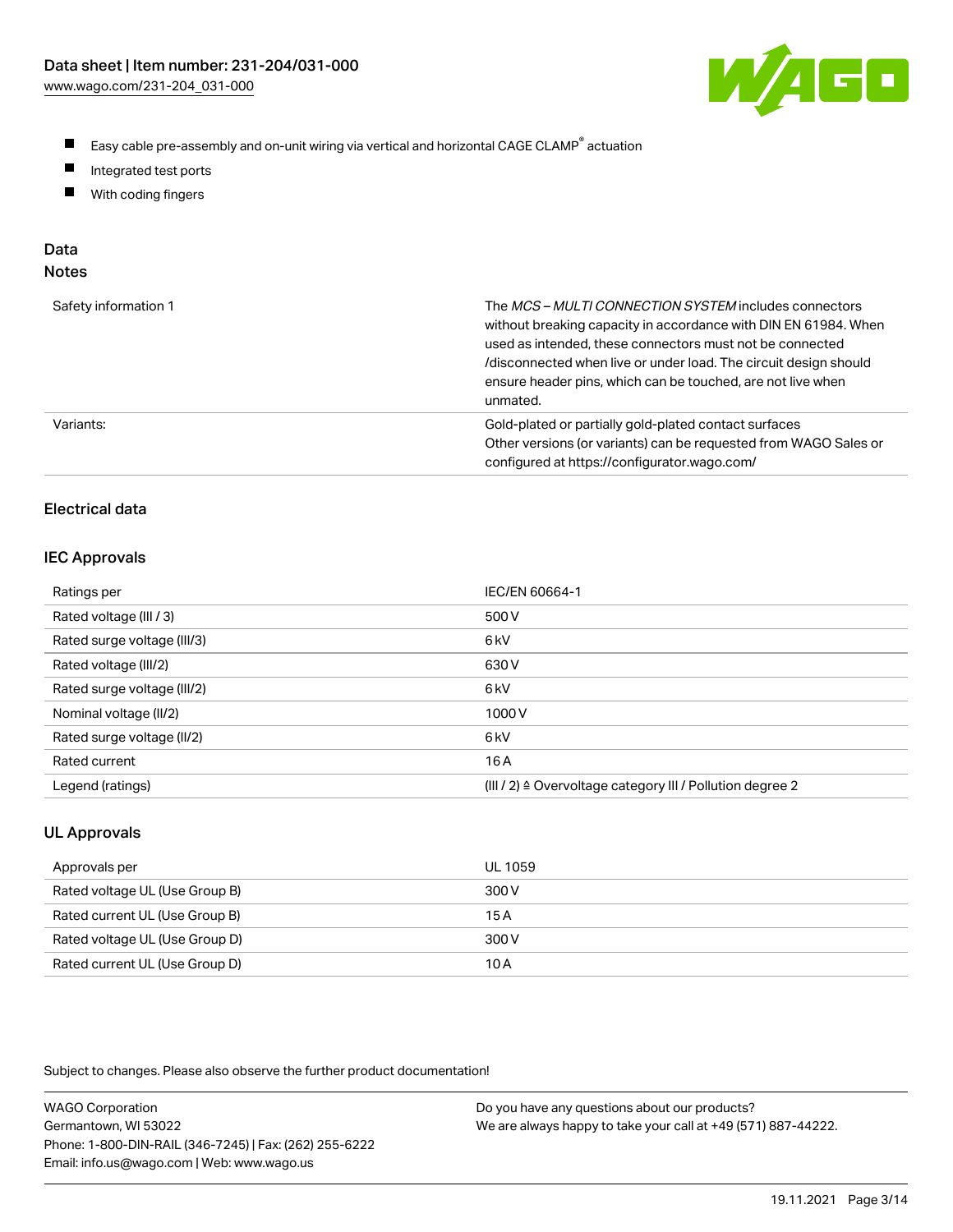

- $\blacksquare$ Easy cable pre-assembly and on-unit wiring via vertical and horizontal CAGE CLAMP<sup>®</sup> actuation
- $\blacksquare$ Integrated test ports
- $\blacksquare$ With coding fingers

# Data

| ×<br>×<br>M.<br>٠<br>۹<br>۰, |  |
|------------------------------|--|
|------------------------------|--|

| Safety information 1 | The MCS-MULTI CONNECTION SYSTEM includes connectors<br>without breaking capacity in accordance with DIN EN 61984. When<br>used as intended, these connectors must not be connected<br>/disconnected when live or under load. The circuit design should<br>ensure header pins, which can be touched, are not live when<br>unmated. |
|----------------------|-----------------------------------------------------------------------------------------------------------------------------------------------------------------------------------------------------------------------------------------------------------------------------------------------------------------------------------|
| Variants:            | Gold-plated or partially gold-plated contact surfaces<br>Other versions (or variants) can be requested from WAGO Sales or<br>configured at https://configurator.wago.com/                                                                                                                                                         |

# Electrical data

## IEC Approvals

| Ratings per                 | IEC/EN 60664-1                                                        |
|-----------------------------|-----------------------------------------------------------------------|
| Rated voltage (III / 3)     | 500 V                                                                 |
| Rated surge voltage (III/3) | 6 <sub>k</sub> V                                                      |
| Rated voltage (III/2)       | 630 V                                                                 |
| Rated surge voltage (III/2) | 6 <sub>k</sub> V                                                      |
| Nominal voltage (II/2)      | 1000V                                                                 |
| Rated surge voltage (II/2)  | 6 <sub>k</sub> V                                                      |
| Rated current               | 16 A                                                                  |
| Legend (ratings)            | $(III / 2)$ $\triangle$ Overvoltage category III / Pollution degree 2 |

# UL Approvals

| Approvals per                  | UL 1059 |
|--------------------------------|---------|
| Rated voltage UL (Use Group B) | 300 V   |
| Rated current UL (Use Group B) | 15 A    |
| Rated voltage UL (Use Group D) | 300 V   |
| Rated current UL (Use Group D) | 10 A    |

Subject to changes. Please also observe the further product documentation!

| <b>WAGO Corporation</b>                                | Do you have any questions about our products?                 |
|--------------------------------------------------------|---------------------------------------------------------------|
| Germantown, WI 53022                                   | We are always happy to take your call at +49 (571) 887-44222. |
| Phone: 1-800-DIN-RAIL (346-7245)   Fax: (262) 255-6222 |                                                               |
| Email: info.us@wago.com   Web: www.wago.us             |                                                               |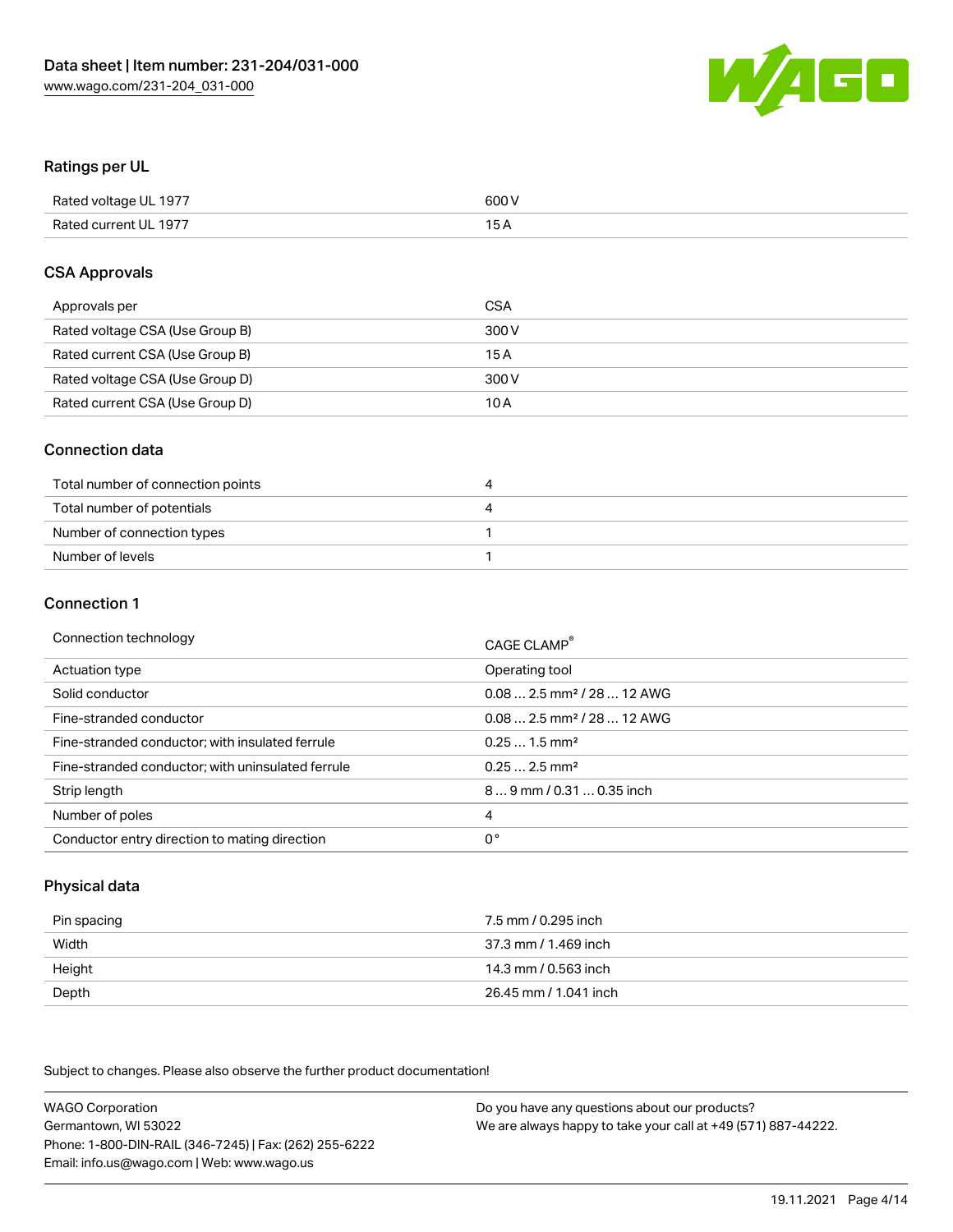

# Ratings per UL

| Rated voltage UL 1977 | 600 V |
|-----------------------|-------|
| Rated current UL 1977 | 1 E   |

## CSA Approvals

| Approvals per                   | CSA   |
|---------------------------------|-------|
| Rated voltage CSA (Use Group B) | 300 V |
| Rated current CSA (Use Group B) | 15 A  |
| Rated voltage CSA (Use Group D) | 300 V |
| Rated current CSA (Use Group D) | 10 A  |

## Connection data

| Total number of connection points | ,,, |
|-----------------------------------|-----|
| Total number of potentials        | ப   |
| Number of connection types        |     |
| Number of levels                  |     |

#### Connection 1

| Connection technology                             | CAGE CLAMP <sup>®</sup>                 |
|---------------------------------------------------|-----------------------------------------|
| Actuation type                                    | Operating tool                          |
| Solid conductor                                   | $0.08$ 2.5 mm <sup>2</sup> / 28  12 AWG |
| Fine-stranded conductor                           | $0.082.5$ mm <sup>2</sup> / 28  12 AWG  |
| Fine-stranded conductor; with insulated ferrule   | $0.251.5$ mm <sup>2</sup>               |
| Fine-stranded conductor; with uninsulated ferrule | $0.252.5$ mm <sup>2</sup>               |
| Strip length                                      | 89 mm / 0.31  0.35 inch                 |
| Number of poles                                   | 4                                       |
| Conductor entry direction to mating direction     | 0°                                      |

# Physical data

| Pin spacing | 7.5 mm / 0.295 inch   |
|-------------|-----------------------|
| Width       | 37.3 mm / 1.469 inch  |
| Height      | 14.3 mm / 0.563 inch  |
| Depth       | 26.45 mm / 1.041 inch |

Subject to changes. Please also observe the further product documentation!

WAGO Corporation Germantown, WI 53022 Phone: 1-800-DIN-RAIL (346-7245) | Fax: (262) 255-6222 Email: info.us@wago.com | Web: www.wago.us Do you have any questions about our products? We are always happy to take your call at +49 (571) 887-44222.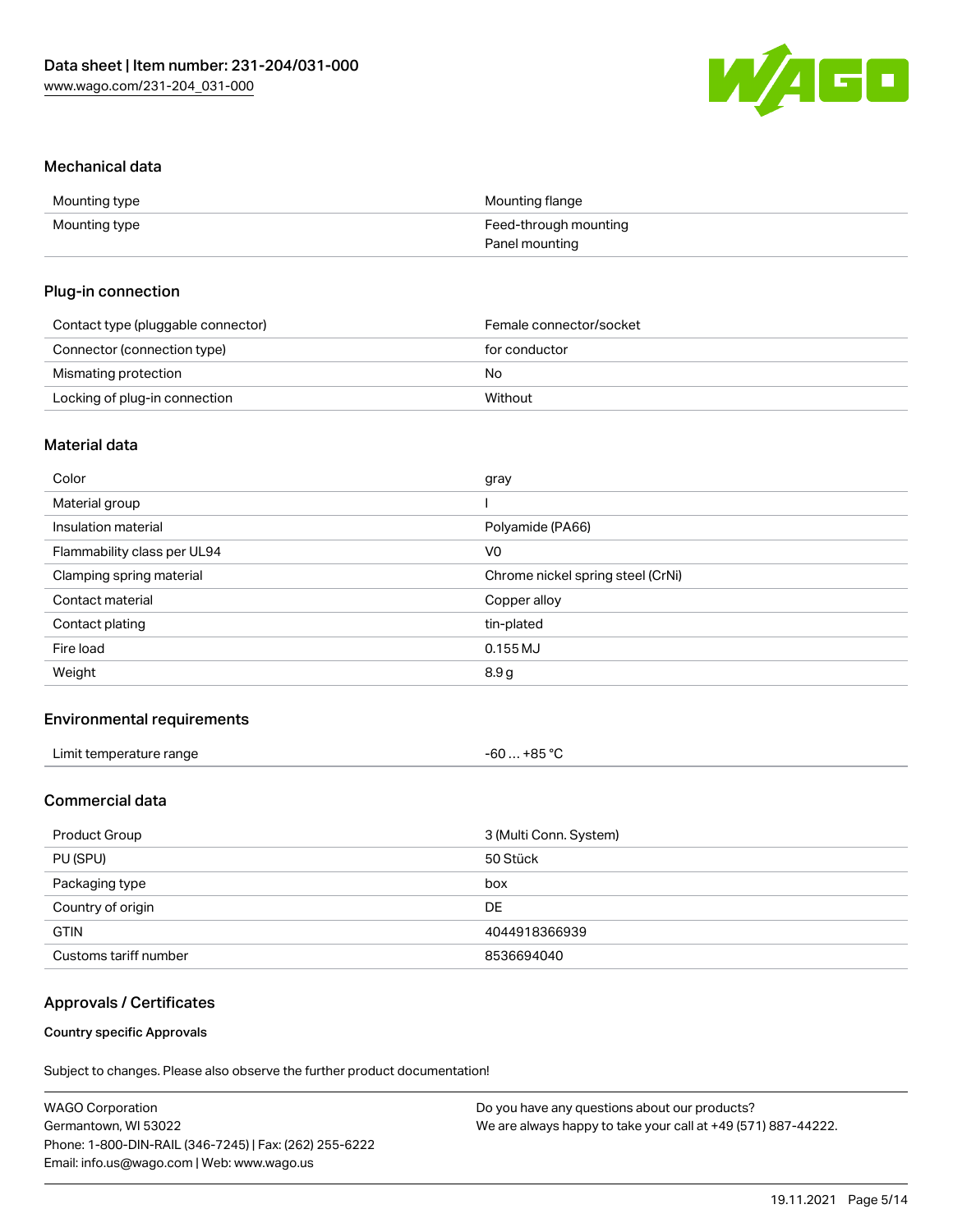

## Mechanical data

| Mounting type | Mounting flange       |
|---------------|-----------------------|
| Mounting type | Feed-through mounting |
|               | Panel mounting        |

# Plug-in connection

| Contact type (pluggable connector) | Female connector/socket |
|------------------------------------|-------------------------|
| Connector (connection type)        | for conductor           |
| Mismating protection               | No                      |
| Locking of plug-in connection      | Without                 |

# Material data

| Color                       | gray                              |
|-----------------------------|-----------------------------------|
| Material group              |                                   |
| Insulation material         | Polyamide (PA66)                  |
| Flammability class per UL94 | V0                                |
| Clamping spring material    | Chrome nickel spring steel (CrNi) |
| Contact material            | Copper alloy                      |
| Contact plating             | tin-plated                        |
| Fire load                   | $0.155$ MJ                        |
| Weight                      | 8.9g                              |
|                             |                                   |

# Environmental requirements

| Limit temperature range | -60 … +85 ℃ |  |
|-------------------------|-------------|--|
|-------------------------|-------------|--|

# Commercial data

| Product Group         | 3 (Multi Conn. System) |
|-----------------------|------------------------|
| PU (SPU)              | 50 Stück               |
| Packaging type        | box                    |
| Country of origin     | DE                     |
| <b>GTIN</b>           | 4044918366939          |
| Customs tariff number | 8536694040             |

# Approvals / Certificates

# Country specific Approvals

Subject to changes. Please also observe the further product documentation!

| <b>WAGO Corporation</b>                                | Do you have any questions about our products?                 |
|--------------------------------------------------------|---------------------------------------------------------------|
| Germantown, WI 53022                                   | We are always happy to take your call at +49 (571) 887-44222. |
| Phone: 1-800-DIN-RAIL (346-7245)   Fax: (262) 255-6222 |                                                               |
| Email: info.us@wago.com   Web: www.wago.us             |                                                               |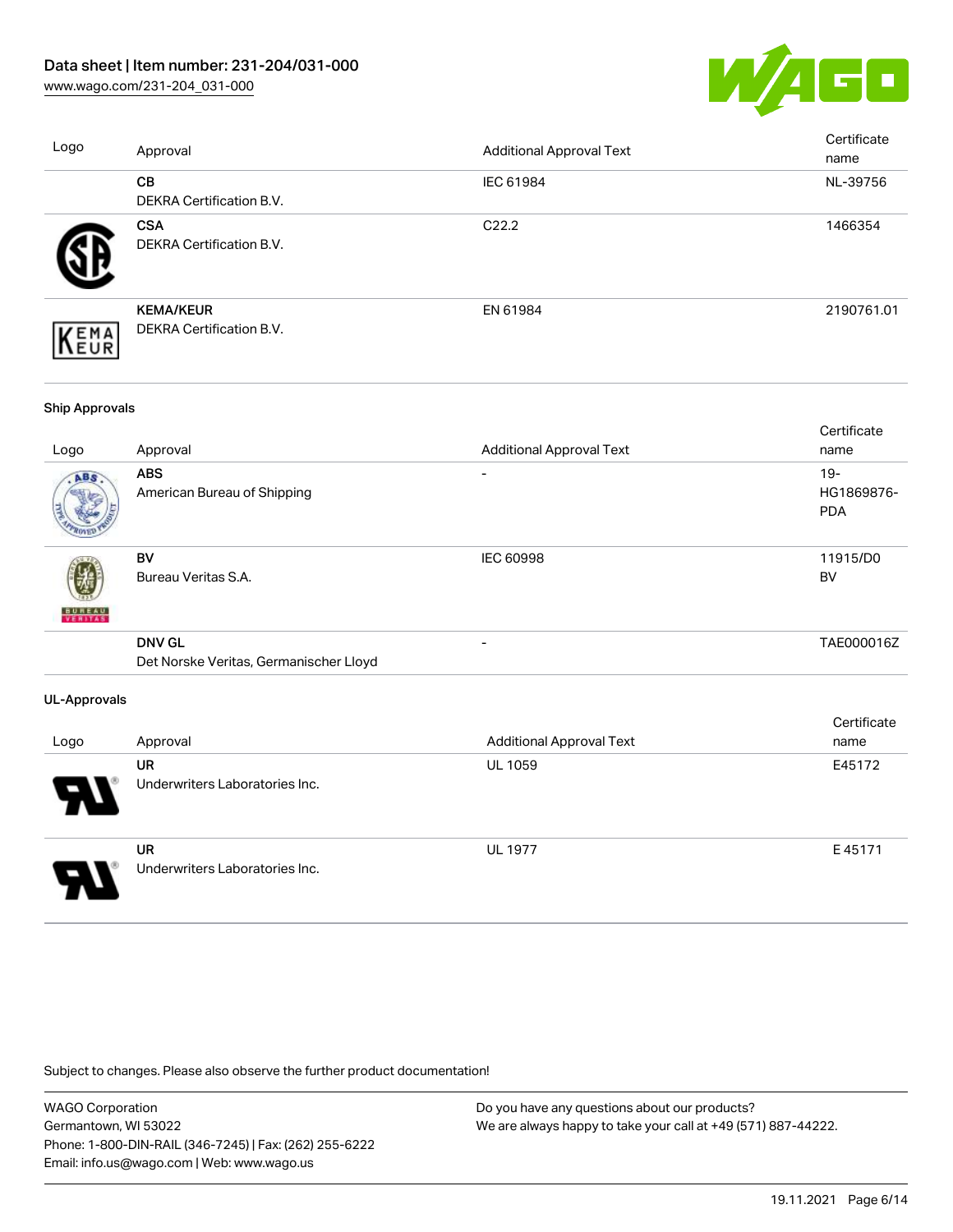

| Logo | Approval                                            | <b>Additional Approval Text</b> | Certificate<br>name |
|------|-----------------------------------------------------|---------------------------------|---------------------|
|      | <b>CB</b><br><b>DEKRA Certification B.V.</b>        | IEC 61984                       | NL-39756            |
|      | <b>CSA</b><br>DEKRA Certification B.V.              | C <sub>22.2</sub>               | 1466354             |
| EMA  | <b>KEMA/KEUR</b><br><b>DEKRA Certification B.V.</b> | EN 61984                        | 2190761.01          |
|      |                                                     |                                 |                     |

#### Ship Approvals

|                     |                                        |                                 | Certificate |
|---------------------|----------------------------------------|---------------------------------|-------------|
| Logo                | Approval                               | <b>Additional Approval Text</b> | name        |
| ABS                 | <b>ABS</b>                             |                                 | $19 -$      |
|                     | American Bureau of Shipping            |                                 | HG1869876-  |
|                     |                                        |                                 | <b>PDA</b>  |
|                     | BV                                     | IEC 60998                       | 11915/D0    |
|                     | Bureau Veritas S.A.                    |                                 | BV          |
| <b>BUREAU</b>       |                                        |                                 |             |
|                     | <b>DNV GL</b>                          |                                 | TAE000016Z  |
|                     | Det Norske Veritas, Germanischer Lloyd |                                 |             |
| <b>UL-Approvals</b> |                                        |                                 |             |
|                     |                                        |                                 | Certificate |
| Logo                | Approval                               | <b>Additional Approval Text</b> | name        |
|                     | <b>UR</b>                              | UL 1059                         | E45172      |
|                     | Underwriters Laboratories Inc.         |                                 |             |



UR Underwriters Laboratories Inc. UL 1977 E 45171

Subject to changes. Please also observe the further product documentation!

WAGO Corporation Germantown, WI 53022 Phone: 1-800-DIN-RAIL (346-7245) | Fax: (262) 255-6222 Email: info.us@wago.com | Web: www.wago.us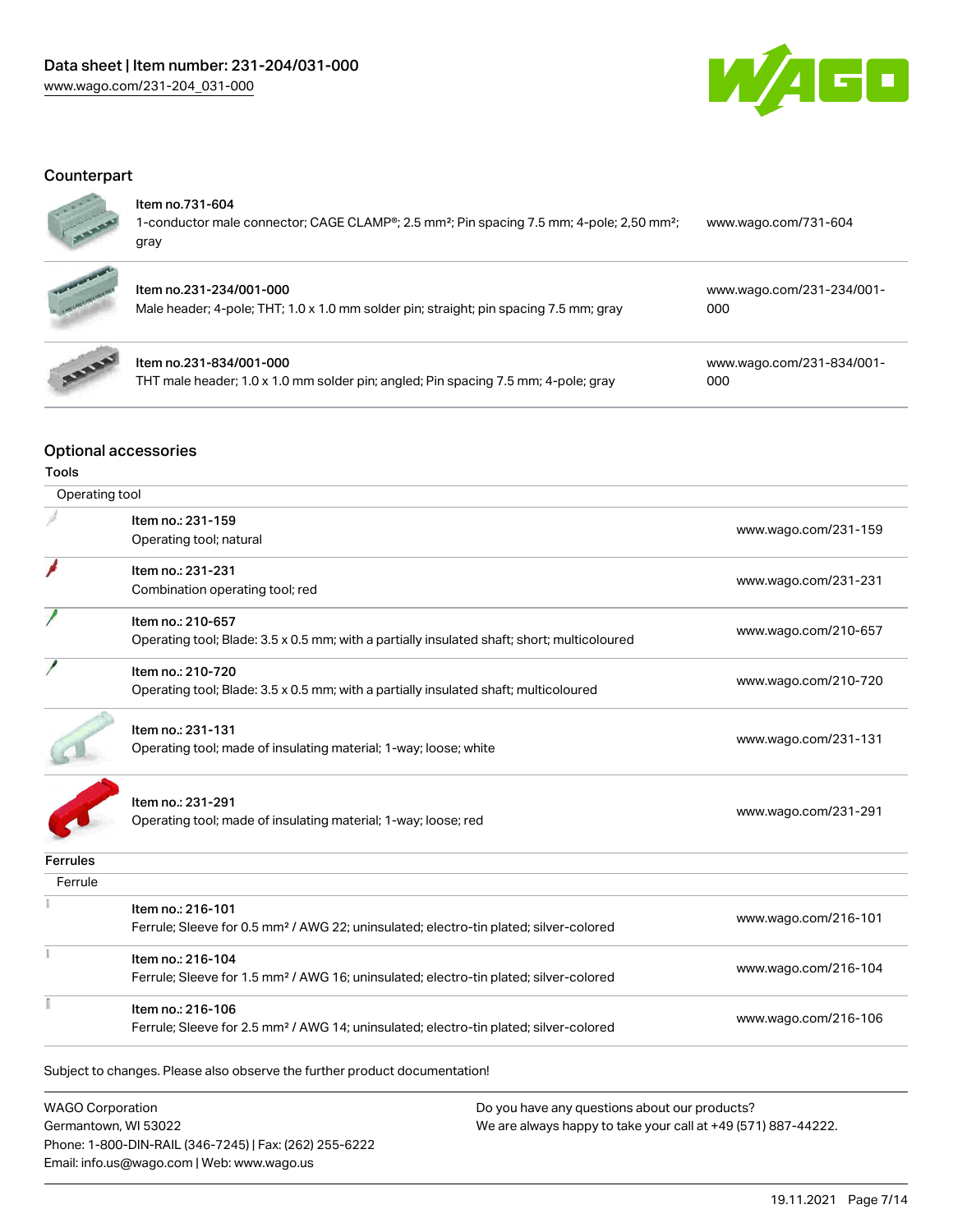

# **Counterpart**



#### Item no.731-604

| 1-conductor male connector; CAGE CLAMP <sup>®</sup> ; 2.5 mm <sup>2</sup> ; Pin spacing 7.5 mm; 4-pole; 2,50 mm <sup>2</sup> ; | www.wago.com/731-604 |
|--------------------------------------------------------------------------------------------------------------------------------|----------------------|
| gray                                                                                                                           |                      |



# Item no.231-234/001-000

| Male header; 4-pole; THT; 1.0 x 1.0 mm solder pin; straight; pin spacing 7.5 mm; gray | 000 |
|---------------------------------------------------------------------------------------|-----|



## Item no.231-834/001-000

THT male header; 1.0 x 1.0 mm solder pin; angled; Pin spacing 7.5 mm; 4-pole; gray

[www.wago.com/231-834/001-](https://www.wago.com/231-834/001-000) [000](https://www.wago.com/231-834/001-000)

[www.wago.com/231-234/001-](https://www.wago.com/231-234/001-000)

## Optional accessories

| Tools           |                                                                                                   |                      |
|-----------------|---------------------------------------------------------------------------------------------------|----------------------|
| Operating tool  |                                                                                                   |                      |
|                 | Item no.: 231-159                                                                                 |                      |
|                 | Operating tool; natural                                                                           | www.wago.com/231-159 |
|                 | Item no.: 231-231                                                                                 |                      |
|                 | Combination operating tool; red                                                                   | www.wago.com/231-231 |
|                 | Item no.: 210-657                                                                                 |                      |
|                 | Operating tool; Blade: 3.5 x 0.5 mm; with a partially insulated shaft; short; multicoloured       | www.wago.com/210-657 |
|                 | Item no.: 210-720                                                                                 |                      |
|                 | Operating tool; Blade: 3.5 x 0.5 mm; with a partially insulated shaft; multicoloured              | www.wago.com/210-720 |
|                 | Item no.: 231-131                                                                                 |                      |
|                 | Operating tool; made of insulating material; 1-way; loose; white                                  | www.wago.com/231-131 |
|                 | Item no.: 231-291                                                                                 |                      |
|                 | Operating tool; made of insulating material; 1-way; loose; red                                    | www.wago.com/231-291 |
| <b>Ferrules</b> |                                                                                                   |                      |
| Ferrule         |                                                                                                   |                      |
|                 | Item no.: 216-101                                                                                 | www.wago.com/216-101 |
|                 | Ferrule; Sleeve for 0.5 mm <sup>2</sup> / AWG 22; uninsulated; electro-tin plated; silver-colored |                      |
|                 | Item no.: 216-104                                                                                 |                      |
|                 | Ferrule; Sleeve for 1.5 mm <sup>2</sup> / AWG 16; uninsulated; electro-tin plated; silver-colored | www.wago.com/216-104 |
|                 | Item no.: 216-106                                                                                 | www.wago.com/216-106 |
|                 | Ferrule; Sleeve for 2.5 mm <sup>2</sup> / AWG 14; uninsulated; electro-tin plated; silver-colored |                      |
|                 | Subject to changes. Please also observe the further product documentation!                        |                      |
|                 |                                                                                                   |                      |

WAGO Corporation Germantown, WI 53022 Phone: 1-800-DIN-RAIL (346-7245) | Fax: (262) 255-6222 Email: info.us@wago.com | Web: www.wago.us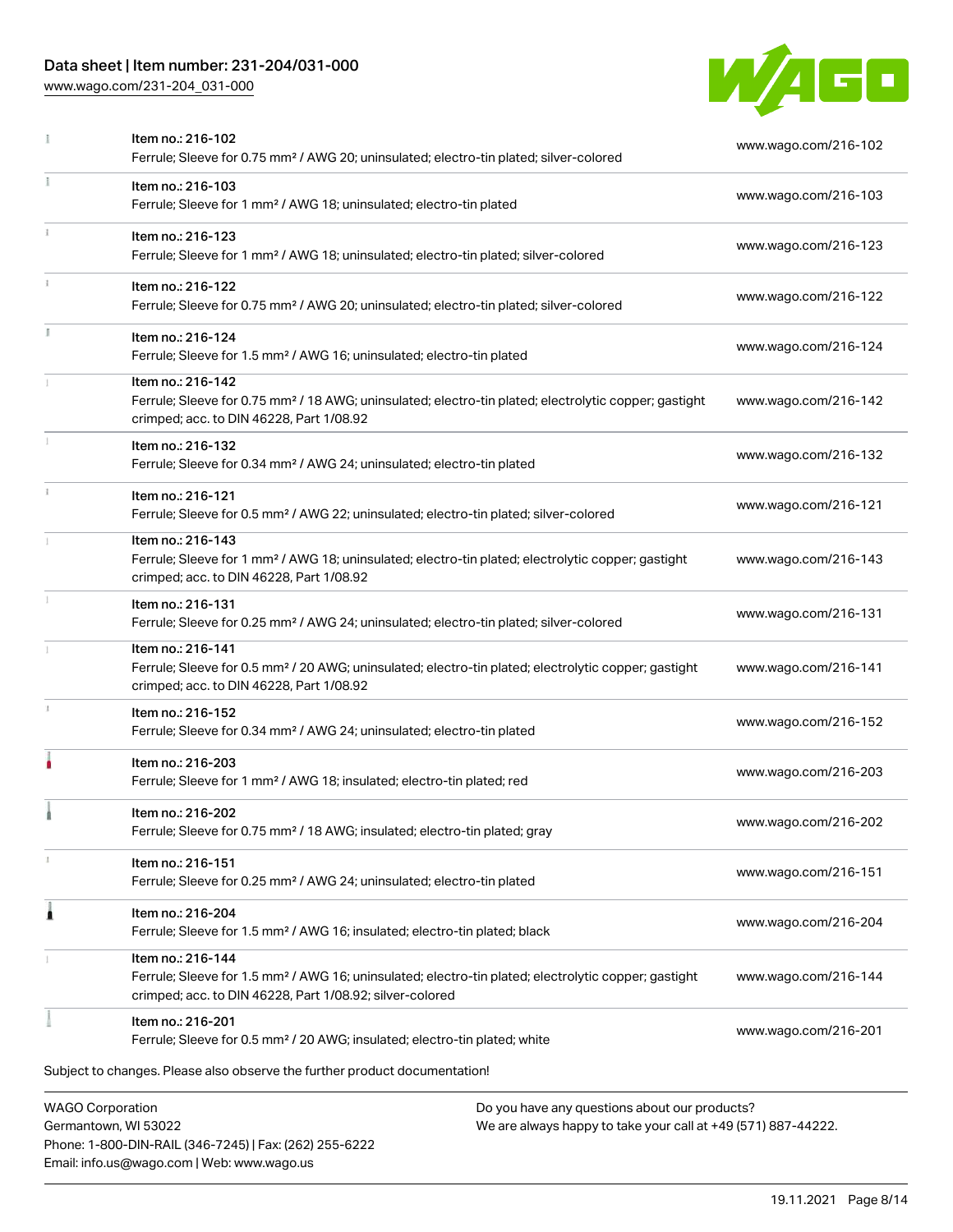# Data sheet | Item number: 231-204/031-000

[www.wago.com/231-204\\_031-000](http://www.wago.com/231-204_031-000)

Email: info.us@wago.com | Web: www.wago.us



|   | Item no.: 216-102<br>Ferrule; Sleeve for 0.75 mm <sup>2</sup> / AWG 20; uninsulated; electro-tin plated; silver-colored                                                                                                     | www.wago.com/216-102 |
|---|-----------------------------------------------------------------------------------------------------------------------------------------------------------------------------------------------------------------------------|----------------------|
|   | Item no.: 216-103<br>Ferrule; Sleeve for 1 mm <sup>2</sup> / AWG 18; uninsulated; electro-tin plated                                                                                                                        | www.wago.com/216-103 |
|   | Item no.: 216-123<br>Ferrule; Sleeve for 1 mm <sup>2</sup> / AWG 18; uninsulated; electro-tin plated; silver-colored                                                                                                        | www.wago.com/216-123 |
|   | Item no.: 216-122<br>Ferrule; Sleeve for 0.75 mm <sup>2</sup> / AWG 20; uninsulated; electro-tin plated; silver-colored                                                                                                     | www.wago.com/216-122 |
|   | Item no.: 216-124<br>Ferrule; Sleeve for 1.5 mm <sup>2</sup> / AWG 16; uninsulated; electro-tin plated                                                                                                                      | www.wago.com/216-124 |
|   | Item no.: 216-142<br>Ferrule; Sleeve for 0.75 mm <sup>2</sup> / 18 AWG; uninsulated; electro-tin plated; electrolytic copper; gastight<br>crimped; acc. to DIN 46228, Part 1/08.92                                          | www.wago.com/216-142 |
|   | Item no.: 216-132<br>Ferrule; Sleeve for 0.34 mm <sup>2</sup> / AWG 24; uninsulated; electro-tin plated                                                                                                                     | www.wago.com/216-132 |
|   | Item no.: 216-121<br>Ferrule; Sleeve for 0.5 mm <sup>2</sup> / AWG 22; uninsulated; electro-tin plated; silver-colored                                                                                                      | www.wago.com/216-121 |
|   | Item no.: 216-143<br>Ferrule; Sleeve for 1 mm <sup>2</sup> / AWG 18; uninsulated; electro-tin plated; electrolytic copper; gastight<br>crimped; acc. to DIN 46228, Part 1/08.92                                             | www.wago.com/216-143 |
|   | Item no.: 216-131<br>Ferrule; Sleeve for 0.25 mm <sup>2</sup> / AWG 24; uninsulated; electro-tin plated; silver-colored                                                                                                     | www.wago.com/216-131 |
|   | Item no.: 216-141<br>Ferrule; Sleeve for 0.5 mm <sup>2</sup> / 20 AWG; uninsulated; electro-tin plated; electrolytic copper; gastight<br>crimped; acc. to DIN 46228, Part 1/08.92                                           | www.wago.com/216-141 |
|   | Item no.: 216-152<br>Ferrule; Sleeve for 0.34 mm <sup>2</sup> / AWG 24; uninsulated; electro-tin plated                                                                                                                     | www.wago.com/216-152 |
|   | Item no.: 216-203<br>Ferrule; Sleeve for 1 mm <sup>2</sup> / AWG 18; insulated; electro-tin plated; red                                                                                                                     | www.wago.com/216-203 |
|   | Item no.: 216-202<br>Ferrule; Sleeve for 0.75 mm <sup>2</sup> / 18 AWG; insulated; electro-tin plated; gray                                                                                                                 | www.wago.com/216-202 |
|   | Item no.: 216-151<br>Ferrule; Sleeve for 0.25 mm <sup>2</sup> / AWG 24; uninsulated; electro-tin plated                                                                                                                     | www.wago.com/216-151 |
| Â | Item no.: 216-204<br>Ferrule; Sleeve for 1.5 mm <sup>2</sup> / AWG 16; insulated; electro-tin plated; black                                                                                                                 | www.wago.com/216-204 |
|   | Item no.: 216-144<br>Ferrule; Sleeve for 1.5 mm <sup>2</sup> / AWG 16; uninsulated; electro-tin plated; electrolytic copper; gastight<br>crimped; acc. to DIN 46228, Part 1/08.92; silver-colored                           | www.wago.com/216-144 |
|   | Item no.: 216-201<br>Ferrule; Sleeve for 0.5 mm <sup>2</sup> / 20 AWG; insulated; electro-tin plated; white                                                                                                                 | www.wago.com/216-201 |
|   | Subject to changes. Please also observe the further product documentation!                                                                                                                                                  |                      |
|   | <b>WAGO Corporation</b><br>Do you have any questions about our products?<br>Germantown, WI 53022<br>We are always happy to take your call at +49 (571) 887-44222.<br>Phone: 1-800-DIN-RAIL (346-7245)   Fax: (262) 255-6222 |                      |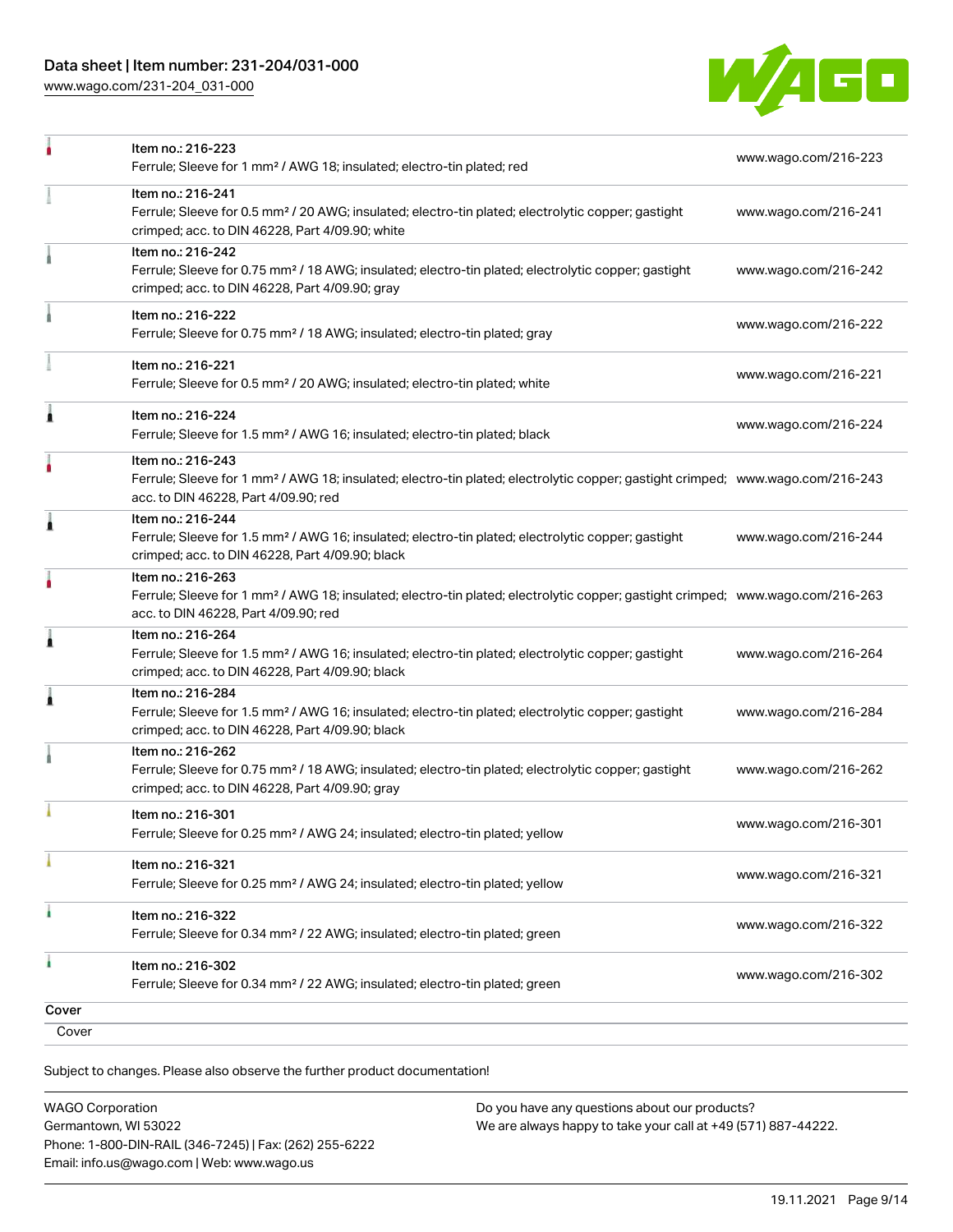

|       | Item no.: 216-223<br>Ferrule; Sleeve for 1 mm <sup>2</sup> / AWG 18; insulated; electro-tin plated; red                                                                                                 | www.wago.com/216-223 |
|-------|---------------------------------------------------------------------------------------------------------------------------------------------------------------------------------------------------------|----------------------|
|       | Item no.: 216-241<br>Ferrule; Sleeve for 0.5 mm <sup>2</sup> / 20 AWG; insulated; electro-tin plated; electrolytic copper; gastight<br>crimped; acc. to DIN 46228, Part 4/09.90; white                  | www.wago.com/216-241 |
|       | Item no.: 216-242<br>Ferrule; Sleeve for 0.75 mm <sup>2</sup> / 18 AWG; insulated; electro-tin plated; electrolytic copper; gastight<br>crimped; acc. to DIN 46228, Part 4/09.90; gray                  | www.wago.com/216-242 |
|       | Item no.: 216-222<br>Ferrule; Sleeve for 0.75 mm <sup>2</sup> / 18 AWG; insulated; electro-tin plated; gray                                                                                             | www.wago.com/216-222 |
|       | Item no.: 216-221<br>Ferrule; Sleeve for 0.5 mm <sup>2</sup> / 20 AWG; insulated; electro-tin plated; white                                                                                             | www.wago.com/216-221 |
| Ă     | Item no.: 216-224<br>Ferrule; Sleeve for 1.5 mm <sup>2</sup> / AWG 16; insulated; electro-tin plated; black                                                                                             | www.wago.com/216-224 |
|       | Item no.: 216-243<br>Ferrule; Sleeve for 1 mm <sup>2</sup> / AWG 18; insulated; electro-tin plated; electrolytic copper; gastight crimped; www.wago.com/216-243<br>acc. to DIN 46228, Part 4/09.90; red |                      |
| 1     | Item no.: 216-244<br>Ferrule; Sleeve for 1.5 mm <sup>2</sup> / AWG 16; insulated; electro-tin plated; electrolytic copper; gastight<br>crimped; acc. to DIN 46228, Part 4/09.90; black                  | www.wago.com/216-244 |
|       | Item no.: 216-263<br>Ferrule; Sleeve for 1 mm <sup>2</sup> / AWG 18; insulated; electro-tin plated; electrolytic copper; gastight crimped; www.wago.com/216-263<br>acc. to DIN 46228, Part 4/09.90; red |                      |
| Â     | Item no.: 216-264<br>Ferrule; Sleeve for 1.5 mm <sup>2</sup> / AWG 16; insulated; electro-tin plated; electrolytic copper; gastight<br>crimped; acc. to DIN 46228, Part 4/09.90; black                  | www.wago.com/216-264 |
| Â     | Item no.: 216-284<br>Ferrule; Sleeve for 1.5 mm <sup>2</sup> / AWG 16; insulated; electro-tin plated; electrolytic copper; gastight<br>crimped; acc. to DIN 46228, Part 4/09.90; black                  | www.wago.com/216-284 |
|       | Item no.: 216-262<br>Ferrule; Sleeve for 0.75 mm <sup>2</sup> / 18 AWG; insulated; electro-tin plated; electrolytic copper; gastight<br>crimped; acc. to DIN 46228, Part 4/09.90; gray                  | www.wago.com/216-262 |
|       | Item no.: 216-301<br>Ferrule; Sleeve for 0.25 mm <sup>2</sup> / AWG 24; insulated; electro-tin plated; yellow                                                                                           | www.wago.com/216-301 |
|       | Item no.: 216-321<br>Ferrule; Sleeve for 0.25 mm <sup>2</sup> / AWG 24; insulated; electro-tin plated; yellow                                                                                           | www.wago.com/216-321 |
| ۸     | Item no.: 216-322<br>Ferrule; Sleeve for 0.34 mm <sup>2</sup> / 22 AWG; insulated; electro-tin plated; green                                                                                            | www.wago.com/216-322 |
| ٠     | Item no.: 216-302<br>Ferrule; Sleeve for 0.34 mm <sup>2</sup> / 22 AWG; insulated; electro-tin plated; green                                                                                            | www.wago.com/216-302 |
| Cover |                                                                                                                                                                                                         |                      |
| Cover |                                                                                                                                                                                                         |                      |
|       |                                                                                                                                                                                                         |                      |

Subject to changes. Please also observe the further product documentation!

| <b>WAGO Corporation</b>                                |
|--------------------------------------------------------|
| Germantown, WI 53022                                   |
| Phone: 1-800-DIN-RAIL (346-7245)   Fax: (262) 255-6222 |
| Email: info.us@wago.com   Web: www.wago.us             |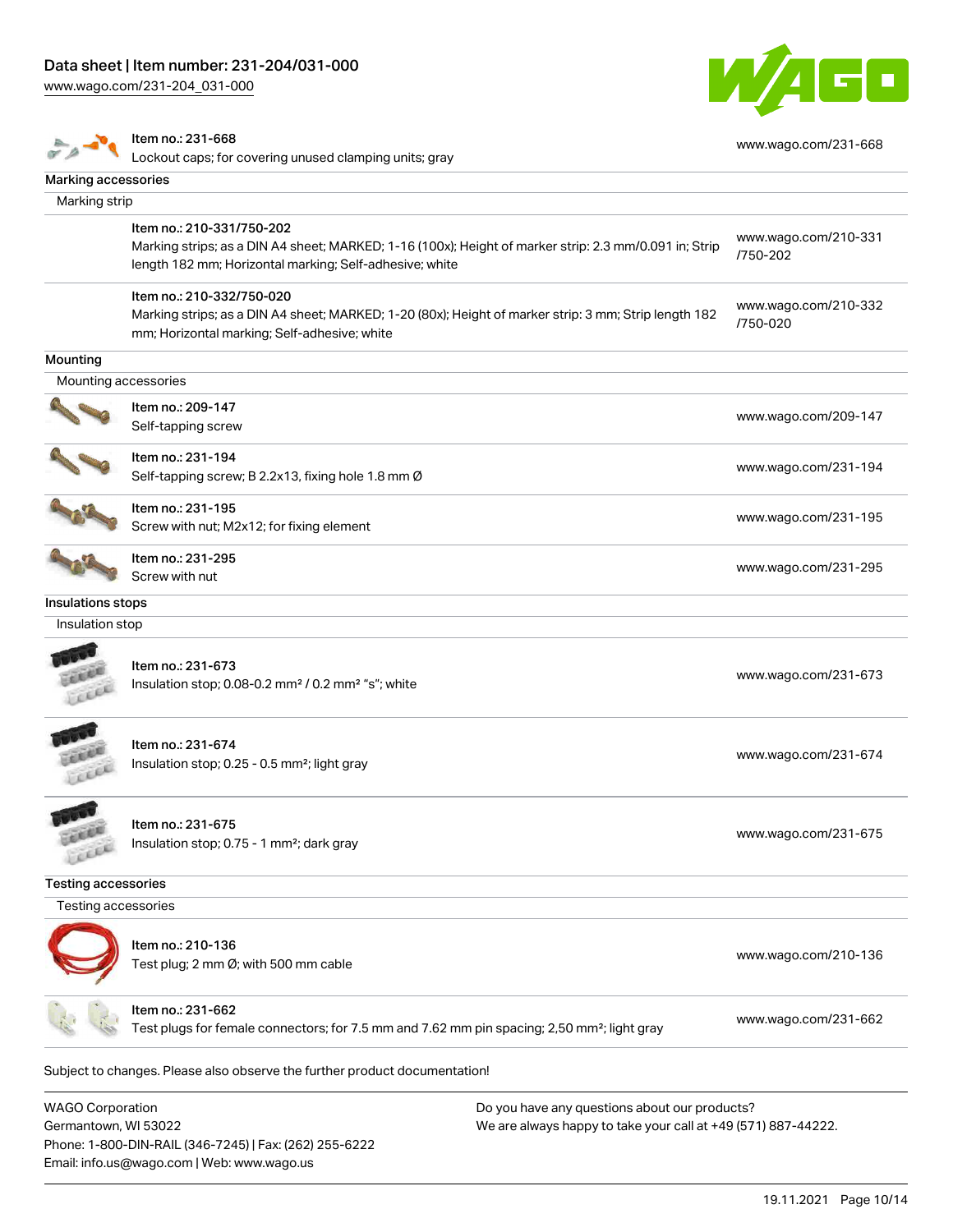

|                            | Item no.: 231-668<br>Lockout caps; for covering unused clamping units; gray                                                                                                                    |                                               | www.wago.com/231-668             |
|----------------------------|------------------------------------------------------------------------------------------------------------------------------------------------------------------------------------------------|-----------------------------------------------|----------------------------------|
| Marking accessories        |                                                                                                                                                                                                |                                               |                                  |
| Marking strip              |                                                                                                                                                                                                |                                               |                                  |
|                            | Item no.: 210-331/750-202<br>Marking strips; as a DIN A4 sheet; MARKED; 1-16 (100x); Height of marker strip: 2.3 mm/0.091 in; Strip<br>length 182 mm; Horizontal marking; Self-adhesive; white |                                               | www.wago.com/210-331<br>/750-202 |
|                            | Item no.: 210-332/750-020<br>Marking strips; as a DIN A4 sheet; MARKED; 1-20 (80x); Height of marker strip: 3 mm; Strip length 182<br>mm; Horizontal marking; Self-adhesive; white             |                                               | www.wago.com/210-332<br>/750-020 |
| Mounting                   |                                                                                                                                                                                                |                                               |                                  |
| Mounting accessories       |                                                                                                                                                                                                |                                               |                                  |
|                            | Item no.: 209-147<br>Self-tapping screw                                                                                                                                                        |                                               | www.wago.com/209-147             |
|                            | Item no.: 231-194<br>Self-tapping screw; B 2.2x13, fixing hole 1.8 mm Ø                                                                                                                        |                                               | www.wago.com/231-194             |
|                            | Item no.: 231-195<br>Screw with nut; M2x12; for fixing element                                                                                                                                 |                                               | www.wago.com/231-195             |
|                            | Item no.: 231-295<br>Screw with nut                                                                                                                                                            |                                               | www.wago.com/231-295             |
| Insulations stops          |                                                                                                                                                                                                |                                               |                                  |
| Insulation stop            |                                                                                                                                                                                                |                                               |                                  |
|                            | Item no.: 231-673<br>Insulation stop; 0.08-0.2 mm <sup>2</sup> / 0.2 mm <sup>2</sup> "s"; white                                                                                                |                                               | www.wago.com/231-673             |
| LEEL                       | Item no.: 231-674<br>Insulation stop; 0.25 - 0.5 mm <sup>2</sup> ; light gray                                                                                                                  |                                               | www.wago.com/231-674             |
| <b>CALL</b><br>CEER        | ltem no.: 231-675<br>Insulation stop; 0.75 - 1 mm <sup>2</sup> ; dark gray                                                                                                                     |                                               | www.wago.com/231-675             |
| <b>Testing accessories</b> |                                                                                                                                                                                                |                                               |                                  |
| Testing accessories        |                                                                                                                                                                                                |                                               |                                  |
|                            | Item no.: 210-136<br>Test plug; 2 mm Ø; with 500 mm cable                                                                                                                                      |                                               | www.wago.com/210-136             |
|                            | Item no.: 231-662<br>Test plugs for female connectors; for 7.5 mm and 7.62 mm pin spacing; 2,50 mm <sup>2</sup> ; light gray                                                                   |                                               | www.wago.com/231-662             |
|                            | Subject to changes. Please also observe the further product documentation!                                                                                                                     |                                               |                                  |
| <b>WAGO Corporation</b>    |                                                                                                                                                                                                | Do you have any questions about our products? |                                  |

Germantown, WI 53022 Phone: 1-800-DIN-RAIL (346-7245) | Fax: (262) 255-6222 Email: info.us@wago.com | Web: www.wago.us

We are always happy to take your call at +49 (571) 887-44222.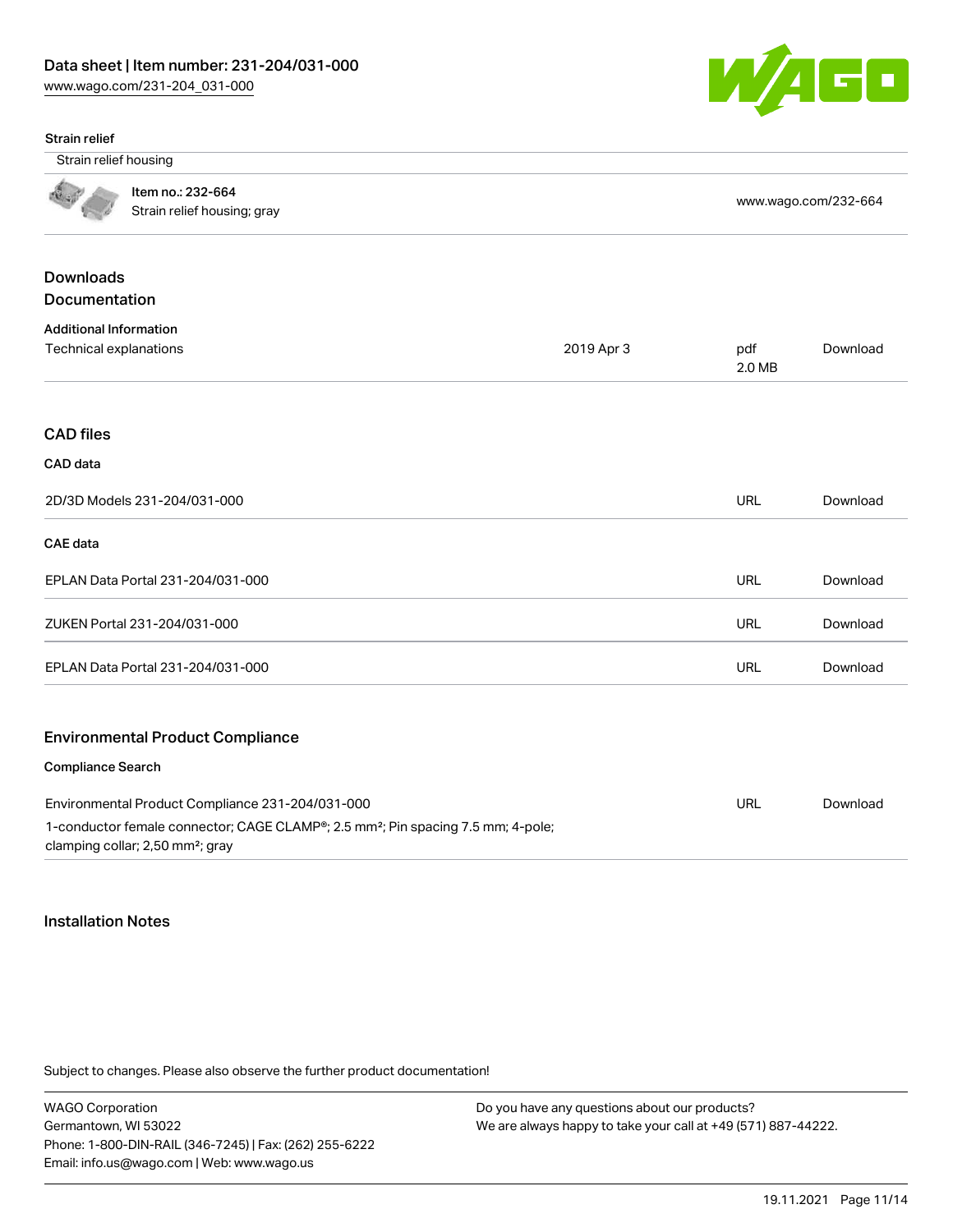

#### Strain relief

Strain relief housing

Item no.: 232-664 Nothing the second second that the strain relief housing; gray [www.wago.com/232-664](http://www.wago.com/232-664)<br>Strain relief housing; gray

# Downloads Documentation Additional Information Technical explanations 2019 Apr 3 pdf 2.0 MB [Download](https://www.wago.com/global/d/1435602) CAD files CAD data 2D/3D Models 231-204/031-000 URL [Download](https://www.wago.com/global/d/3D_URLS_231-204_031-000) CAE data EPLAN Data Portal 231-204/031-000 URL [Download](https://www.wago.com/global/d/EPLAN_URLS_231-204%252F031-000) ZUKEN Portal 231-204/031-000 URL [Download](https://www.wago.com/global/d/Zuken_URLS_231-204_031-000) EPLAN Data Portal 231-204/031-000 URL [Download](https://www.wago.com/global/d/EPLAN_URLS_231-204_031-000) Environmental Product Compliance Compliance Search Environmental Product Compliance 231-204/031-000 1-conductor female connector; CAGE CLAMP®; 2.5 mm²; Pin spacing 7.5 mm; 4-pole; clamping collar; 2,50 mm²; gray URL [Download](https://www.wago.com/global/d/ComplianceLinkMediaContainer_231-204_031-000)

#### Installation Notes

Subject to changes. Please also observe the further product documentation!

WAGO Corporation Germantown, WI 53022 Phone: 1-800-DIN-RAIL (346-7245) | Fax: (262) 255-6222 Email: info.us@wago.com | Web: www.wago.us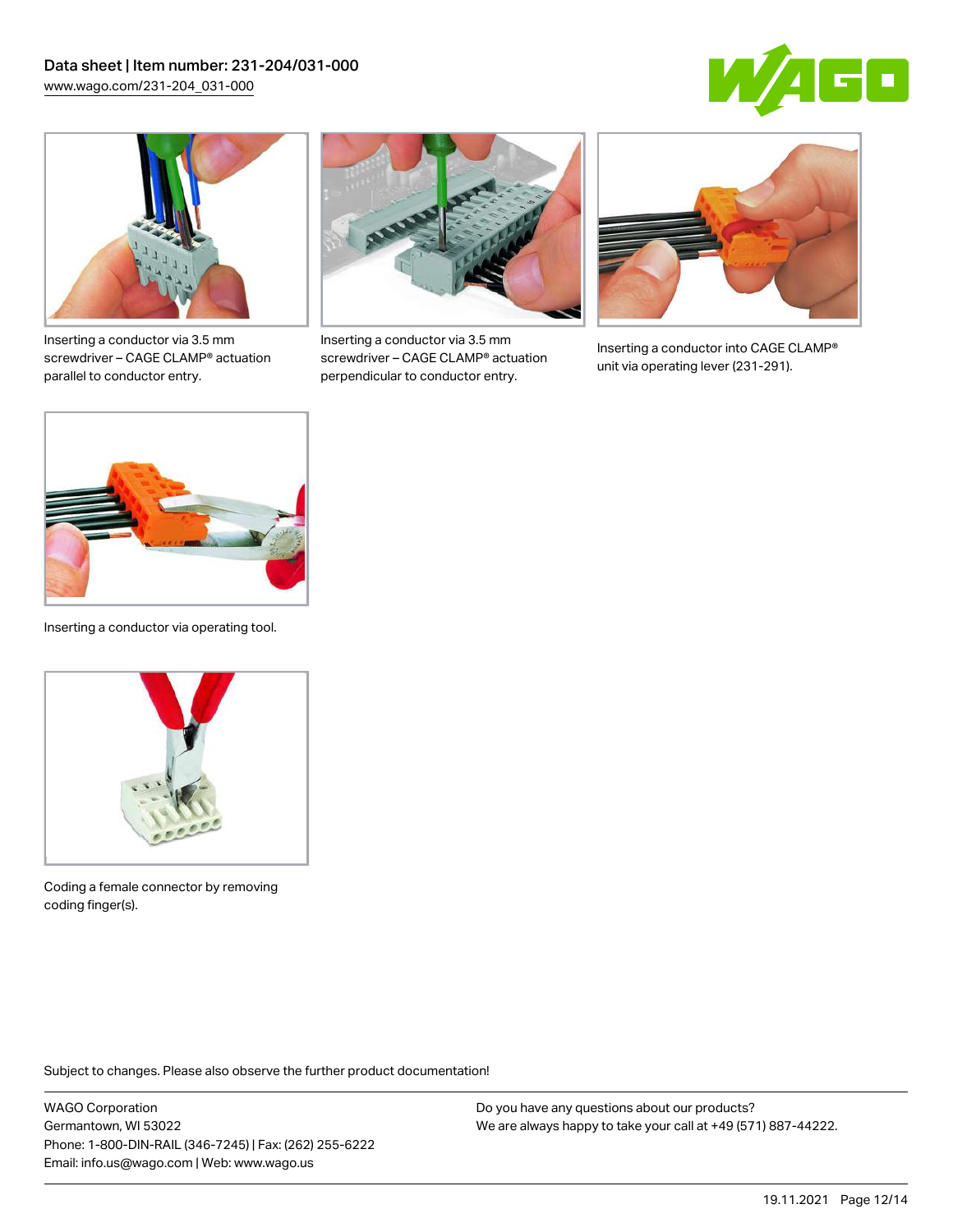



Inserting a conductor via 3.5 mm screwdriver – CAGE CLAMP® actuation parallel to conductor entry.



Inserting a conductor via 3.5 mm screwdriver – CAGE CLAMP® actuation perpendicular to conductor entry.



Inserting a conductor into CAGE CLAMP® unit via operating lever (231-291).



Inserting a conductor via operating tool.



Coding a female connector by removing coding finger(s).

Subject to changes. Please also observe the further product documentation!

WAGO Corporation Germantown, WI 53022 Phone: 1-800-DIN-RAIL (346-7245) | Fax: (262) 255-6222 Email: info.us@wago.com | Web: www.wago.us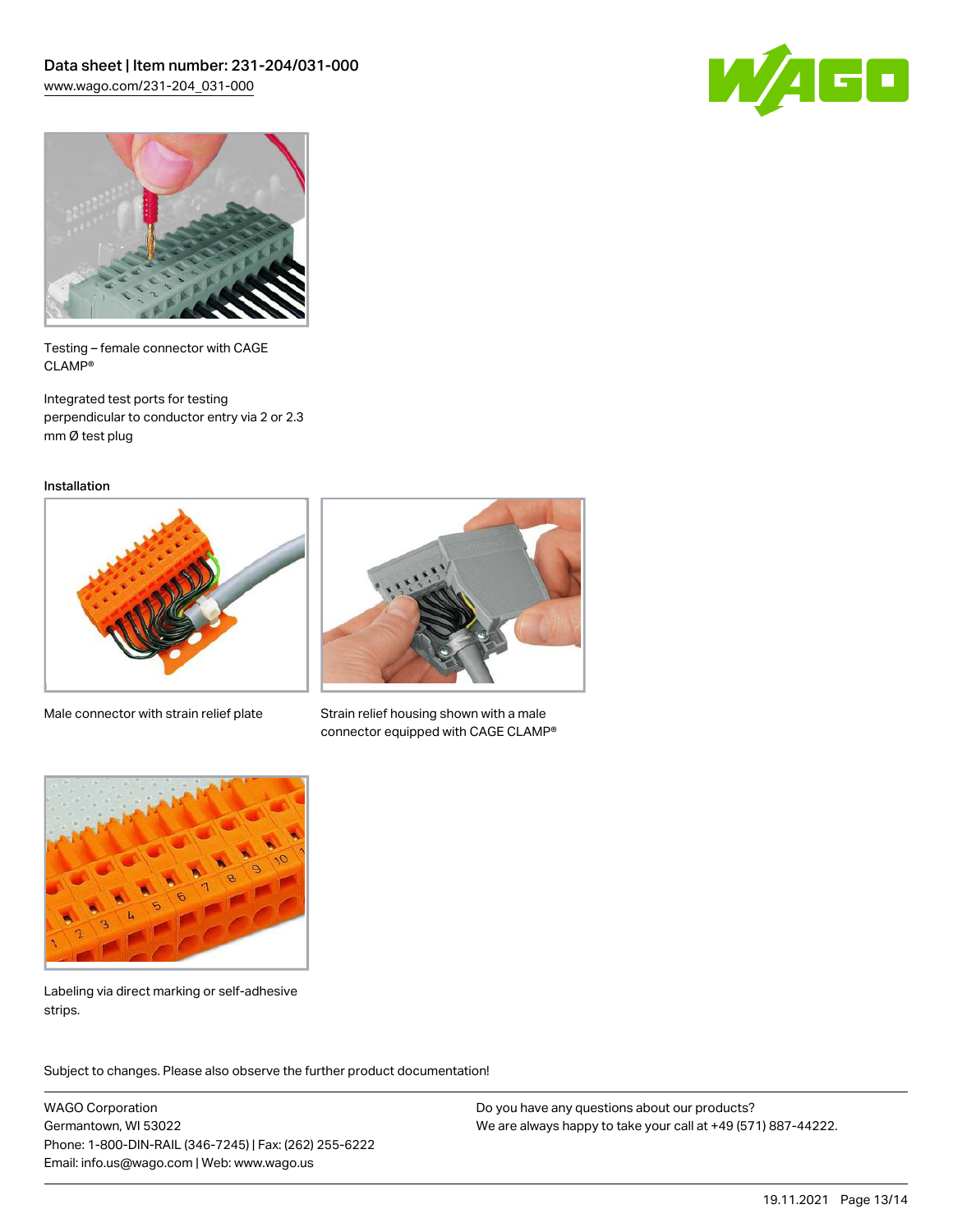



Testing – female connector with CAGE CLAMP®

Integrated test ports for testing perpendicular to conductor entry via 2 or 2.3 mm Ø test plug

Installation



Male connector with strain relief plate



Strain relief housing shown with a male connector equipped with CAGE CLAMP®



Labeling via direct marking or self-adhesive strips.

Subject to changes. Please also observe the further product documentation! Product family

WAGO Corporation Germantown, WI 53022 Phone: 1-800-DIN-RAIL (346-7245) | Fax: (262) 255-6222 Email: info.us@wago.com | Web: www.wago.us